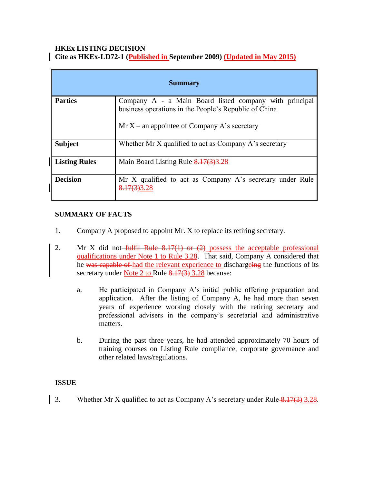#### **HKEx LISTING DECISION Cite as HKEx-LD72-1 (Published in September 2009) (Updated in May 2015)**

| <b>Summary</b>       |                                                                                                                                                                   |
|----------------------|-------------------------------------------------------------------------------------------------------------------------------------------------------------------|
| <b>Parties</b>       | Company A - a Main Board listed company with principal<br>business operations in the People's Republic of China<br>Mr $X$ – an appointee of Company A's secretary |
| <b>Subject</b>       | Whether Mr X qualified to act as Company A's secretary                                                                                                            |
| <b>Listing Rules</b> | Main Board Listing Rule $8.17(3)3.28$                                                                                                                             |
| <b>Decision</b>      | Mr X qualified to act as Company A's secretary under Rule<br>8.17(3)3.28                                                                                          |

# **SUMMARY OF FACTS**

- 1. Company A proposed to appoint Mr. X to replace its retiring secretary.
- 2. Mr X did not-fulfil Rule  $8.17(1)$  or  $(2)$  possess the acceptable professional qualifications under Note 1 to Rule 3.28. That said, Company A considered that he was capable of had the relevant experience to dischargeing the functions of its secretary under Note 2 to Rule 8.17(3) 3.28 because:
	- a. He participated in Company A's initial public offering preparation and application. After the listing of Company A, he had more than seven years of experience working closely with the retiring secretary and professional advisers in the company's secretarial and administrative matters.
	- b. During the past three years, he had attended approximately 70 hours of training courses on Listing Rule compliance, corporate governance and other related laws/regulations.

## **ISSUE**

3. Whether Mr X qualified to act as Company A's secretary under Rule  $\frac{8.17(3)}{3.28}$ .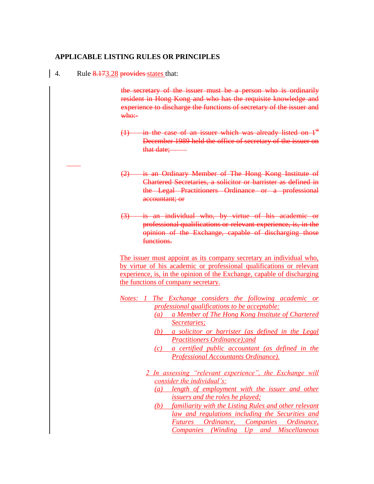### **APPLICABLE LISTING RULES OR PRINCIPLES**

4. Rule 8.173.28 provides states that:

the secretary of the issuer must be a person who is ordinarily resident in Hong Kong and who has the requisite knowledge and experience to discharge the functions of secretary of the issuer and  $w$ ho:-

- $(1)$  in the case of an issuer which was already listed on  $1<sup>st</sup>$ December 1989 held the office of secretary of the issuer on that date:
- (2) is an Ordinary Member of The Hong Kong Institute of Chartered Secretaries, a solicitor or barrister as defined in the Legal Practitioners Ordinance or a professional accountant; or
- (3) is an individual who, by virtue of his academic or professional qualifications or relevant experience, is, in the opinion of the Exchange, capable of discharging those functions.

The issuer must appoint as its company secretary an individual who, by virtue of his academic or professional qualifications or relevant experience, is, in the opinion of the Exchange, capable of discharging the functions of company secretary.

- *Notes: 1 The Exchange considers the following academic or professional qualifications to be acceptable:* 
	- *(a) a Member of The Hong Kong Institute of Chartered Secretaries;*
	- *(b) a solicitor or barrister (as defined in the Legal Practitioners Ordinance);and*
	- *(c) a certified public accountant (as defined in the Professional Accountants Ordinance).*
	- *2 In assessing "relevant experience", the Exchange will consider the individual's:* 
		- *(a) length of employment with the issuer and other issuers and the roles he played;*
		- *(b) familiarity with the Listing Rules and other relevant law and regulations including the Securities and Futures Ordinance, Companies Ordinance, Companies (Winding Up and Miscellaneous*